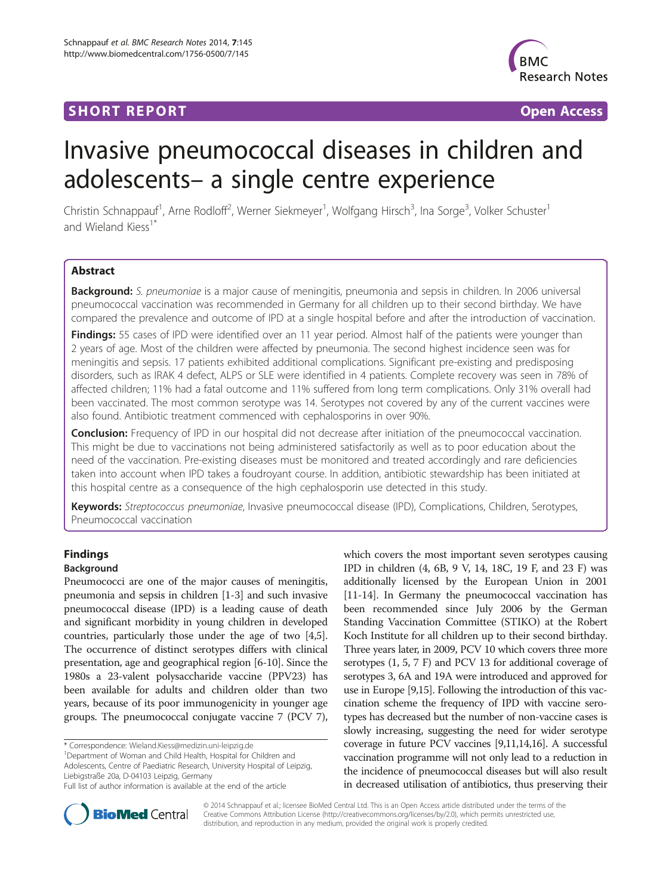# **SHORT REPORT SHORT CONSUMING ACCESS**



# Invasive pneumococcal diseases in children and adolescents– a single centre experience

Christin Schnappauf<sup>1</sup>, Arne Rodloff<sup>2</sup>, Werner Siekmeyer<sup>1</sup>, Wolfgang Hirsch<sup>3</sup>, Ina Sorge<sup>3</sup>, Volker Schuster<sup>1</sup> and Wieland Kiess<sup>1\*</sup>

# Abstract

Background: S. pneumoniae is a major cause of meningitis, pneumonia and sepsis in children. In 2006 universal pneumococcal vaccination was recommended in Germany for all children up to their second birthday. We have compared the prevalence and outcome of IPD at a single hospital before and after the introduction of vaccination.

Findings: 55 cases of IPD were identified over an 11 year period. Almost half of the patients were younger than 2 years of age. Most of the children were affected by pneumonia. The second highest incidence seen was for meningitis and sepsis. 17 patients exhibited additional complications. Significant pre-existing and predisposing disorders, such as IRAK 4 defect, ALPS or SLE were identified in 4 patients. Complete recovery was seen in 78% of affected children; 11% had a fatal outcome and 11% suffered from long term complications. Only 31% overall had been vaccinated. The most common serotype was 14. Serotypes not covered by any of the current vaccines were also found. Antibiotic treatment commenced with cephalosporins in over 90%.

**Conclusion:** Frequency of IPD in our hospital did not decrease after initiation of the pneumococcal vaccination. This might be due to vaccinations not being administered satisfactorily as well as to poor education about the need of the vaccination. Pre-existing diseases must be monitored and treated accordingly and rare deficiencies taken into account when IPD takes a foudroyant course. In addition, antibiotic stewardship has been initiated at this hospital centre as a consequence of the high cephalosporin use detected in this study.

Keywords: Streptococcus pneumoniae, Invasive pneumococcal disease (IPD), Complications, Children, Serotypes, Pneumococcal vaccination

# Findings

# Background

Pneumococci are one of the major causes of meningitis, pneumonia and sepsis in children [[1-3\]](#page-6-0) and such invasive pneumococcal disease (IPD) is a leading cause of death and significant morbidity in young children in developed countries, particularly those under the age of two [[4](#page-6-0),[5](#page-6-0)]. The occurrence of distinct serotypes differs with clinical presentation, age and geographical region [\[6-10](#page-6-0)]. Since the 1980s a 23-valent polysaccharide vaccine (PPV23) has been available for adults and children older than two years, because of its poor immunogenicity in younger age groups. The pneumococcal conjugate vaccine 7 (PCV 7),

\* Correspondence: [Wieland.Kiess@medizin.uni-leipzig.de](mailto:Wieland.Kiess@medizin.uni-leipzig.de) <sup>1</sup>

<sup>1</sup>Department of Woman and Child Health, Hospital for Children and Adolescents, Centre of Paediatric Research, University Hospital of Leipzig, Liebigstraße 20a, D-04103 Leipzig, Germany

which covers the most important seven serotypes causing IPD in children (4, 6B, 9 V, 14, 18C, 19 F, and 23 F) was additionally licensed by the European Union in 2001 [[11](#page-6-0)-[14\]](#page-6-0). In Germany the pneumococcal vaccination has been recommended since July 2006 by the German Standing Vaccination Committee (STIKO) at the Robert Koch Institute for all children up to their second birthday. Three years later, in 2009, PCV 10 which covers three more serotypes (1, 5, 7 F) and PCV 13 for additional coverage of serotypes 3, 6A and 19A were introduced and approved for use in Europe [\[9,15](#page-6-0)]. Following the introduction of this vaccination scheme the frequency of IPD with vaccine serotypes has decreased but the number of non-vaccine cases is slowly increasing, suggesting the need for wider serotype coverage in future PCV vaccines [[9,11,14,16\]](#page-6-0). A successful vaccination programme will not only lead to a reduction in the incidence of pneumococcal diseases but will also result in decreased utilisation of antibiotics, thus preserving their



© 2014 Schnappauf et al.; licensee BioMed Central Ltd. This is an Open Access article distributed under the terms of the Creative Commons Attribution License (<http://creativecommons.org/licenses/by/2.0>), which permits unrestricted use, distribution, and reproduction in any medium, provided the original work is properly credited.

Full list of author information is available at the end of the article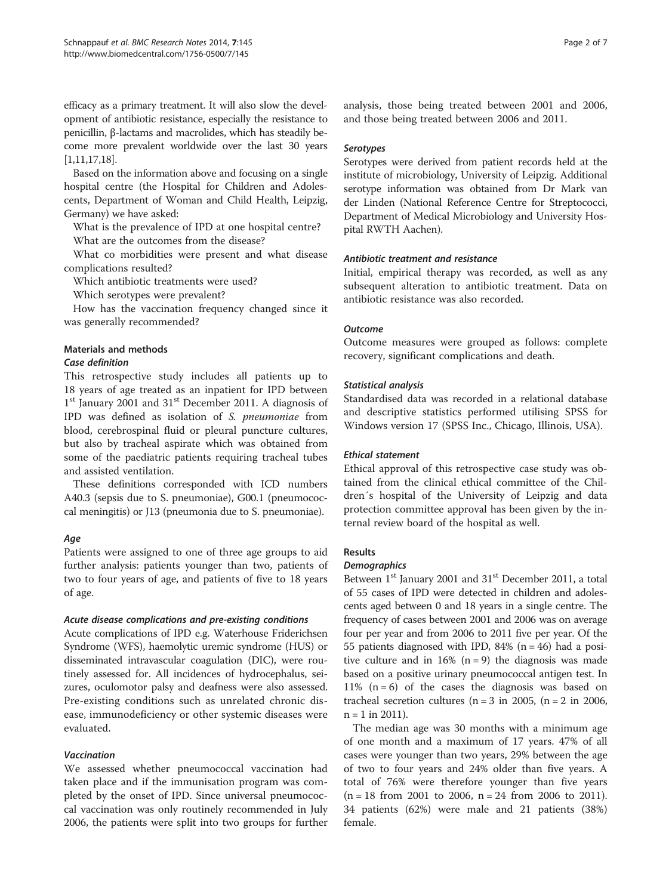efficacy as a primary treatment. It will also slow the development of antibiotic resistance, especially the resistance to penicillin, β-lactams and macrolides, which has steadily become more prevalent worldwide over the last 30 years [[1,11,17,18\]](#page-6-0).

Based on the information above and focusing on a single hospital centre (the Hospital for Children and Adolescents, Department of Woman and Child Health, Leipzig, Germany) we have asked:

What is the prevalence of IPD at one hospital centre? What are the outcomes from the disease?

What co morbidities were present and what disease complications resulted?

Which antibiotic treatments were used?

Which serotypes were prevalent?

How has the vaccination frequency changed since it was generally recommended?

# Materials and methods

#### Case definition

This retrospective study includes all patients up to 18 years of age treated as an inpatient for IPD between  $1<sup>st</sup>$  January 2001 and  $31<sup>st</sup>$  December 2011. A diagnosis of IPD was defined as isolation of S. pneumoniae from blood, cerebrospinal fluid or pleural puncture cultures, but also by tracheal aspirate which was obtained from some of the paediatric patients requiring tracheal tubes and assisted ventilation.

These definitions corresponded with ICD numbers A40.3 (sepsis due to S. pneumoniae), G00.1 (pneumococcal meningitis) or J13 (pneumonia due to S. pneumoniae).

# Age

Patients were assigned to one of three age groups to aid further analysis: patients younger than two, patients of two to four years of age, and patients of five to 18 years of age.

# Acute disease complications and pre-existing conditions

Acute complications of IPD e.g. Waterhouse Friderichsen Syndrome (WFS), haemolytic uremic syndrome (HUS) or disseminated intravascular coagulation (DIC), were routinely assessed for. All incidences of hydrocephalus, seizures, oculomotor palsy and deafness were also assessed. Pre-existing conditions such as unrelated chronic disease, immunodeficiency or other systemic diseases were evaluated.

# Vaccination

We assessed whether pneumococcal vaccination had taken place and if the immunisation program was completed by the onset of IPD. Since universal pneumococcal vaccination was only routinely recommended in July 2006, the patients were split into two groups for further analysis, those being treated between 2001 and 2006, and those being treated between 2006 and 2011.

# Serotypes

Serotypes were derived from patient records held at the institute of microbiology, University of Leipzig. Additional serotype information was obtained from Dr Mark van der Linden (National Reference Centre for Streptococci, Department of Medical Microbiology and University Hospital RWTH Aachen).

# Antibiotic treatment and resistance

Initial, empirical therapy was recorded, as well as any subsequent alteration to antibiotic treatment. Data on antibiotic resistance was also recorded.

# Outcome

Outcome measures were grouped as follows: complete recovery, significant complications and death.

# Statistical analysis

Standardised data was recorded in a relational database and descriptive statistics performed utilising SPSS for Windows version 17 (SPSS Inc., Chicago, Illinois, USA).

# Ethical statement

Ethical approval of this retrospective case study was obtained from the clinical ethical committee of the Children´s hospital of the University of Leipzig and data protection committee approval has been given by the internal review board of the hospital as well.

# Results

# **Demographics**

Between 1<sup>st</sup> January 2001 and 31<sup>st</sup> December 2011, a total of 55 cases of IPD were detected in children and adolescents aged between 0 and 18 years in a single centre. The frequency of cases between 2001 and 2006 was on average four per year and from 2006 to 2011 five per year. Of the 55 patients diagnosed with IPD, 84% ( $n = 46$ ) had a positive culture and in 16% ( $n = 9$ ) the diagnosis was made based on a positive urinary pneumococcal antigen test. In 11%  $(n = 6)$  of the cases the diagnosis was based on tracheal secretion cultures ( $n = 3$  in 2005, ( $n = 2$  in 2006,  $n = 1$  in 2011).

The median age was 30 months with a minimum age of one month and a maximum of 17 years. 47% of all cases were younger than two years, 29% between the age of two to four years and 24% older than five years. A total of 76% were therefore younger than five years  $(n = 18$  from 2001 to 2006,  $n = 24$  from 2006 to 2011). 34 patients (62%) were male and 21 patients (38%) female.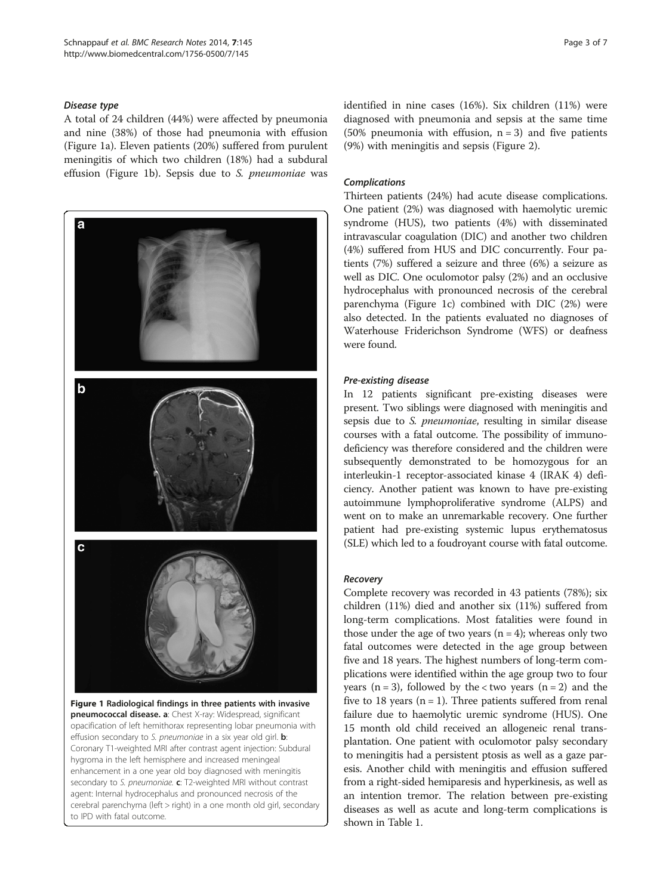#### Disease type

A total of 24 children (44%) were affected by pneumonia and nine (38%) of those had pneumonia with effusion (Figure 1a). Eleven patients (20%) suffered from purulent meningitis of which two children (18%) had a subdural effusion (Figure 1b). Sepsis due to S. pneumoniae was



Coronary T1-weighted MRI after contrast agent injection: Subdural hygroma in the left hemisphere and increased meningeal enhancement in a one year old boy diagnosed with meningitis secondary to S. pneumoniae. c: T2-weighted MRI without contrast agent: Internal hydrocephalus and pronounced necrosis of the cerebral parenchyma (left > right) in a one month old girl, secondary to IPD with fatal outcome.

identified in nine cases (16%). Six children (11%) were diagnosed with pneumonia and sepsis at the same time (50% pneumonia with effusion,  $n = 3$ ) and five patients (9%) with meningitis and sepsis (Figure [2](#page-3-0)).

#### Complications

Thirteen patients (24%) had acute disease complications. One patient (2%) was diagnosed with haemolytic uremic syndrome (HUS), two patients (4%) with disseminated intravascular coagulation (DIC) and another two children (4%) suffered from HUS and DIC concurrently. Four patients (7%) suffered a seizure and three (6%) a seizure as well as DIC. One oculomotor palsy (2%) and an occlusive hydrocephalus with pronounced necrosis of the cerebral parenchyma (Figure 1c) combined with DIC (2%) were also detected. In the patients evaluated no diagnoses of Waterhouse Friderichson Syndrome (WFS) or deafness were found.

#### Pre-existing disease

In 12 patients significant pre-existing diseases were present. Two siblings were diagnosed with meningitis and sepsis due to S. pneumoniae, resulting in similar disease courses with a fatal outcome. The possibility of immunodeficiency was therefore considered and the children were subsequently demonstrated to be homozygous for an interleukin-1 receptor-associated kinase 4 (IRAK 4) deficiency. Another patient was known to have pre-existing autoimmune lymphoproliferative syndrome (ALPS) and went on to make an unremarkable recovery. One further patient had pre-existing systemic lupus erythematosus (SLE) which led to a foudroyant course with fatal outcome.

# Recovery

Complete recovery was recorded in 43 patients (78%); six children (11%) died and another six (11%) suffered from long-term complications. Most fatalities were found in those under the age of two years  $(n = 4)$ ; whereas only two fatal outcomes were detected in the age group between five and 18 years. The highest numbers of long-term complications were identified within the age group two to four years ( $n = 3$ ), followed by the < two years ( $n = 2$ ) and the five to 18 years  $(n = 1)$ . Three patients suffered from renal failure due to haemolytic uremic syndrome (HUS). One 15 month old child received an allogeneic renal transplantation. One patient with oculomotor palsy secondary to meningitis had a persistent ptosis as well as a gaze paresis. Another child with meningitis and effusion suffered from a right-sided hemiparesis and hyperkinesis, as well as an intention tremor. The relation between pre-existing diseases as well as acute and long-term complications is shown in Table [1.](#page-3-0)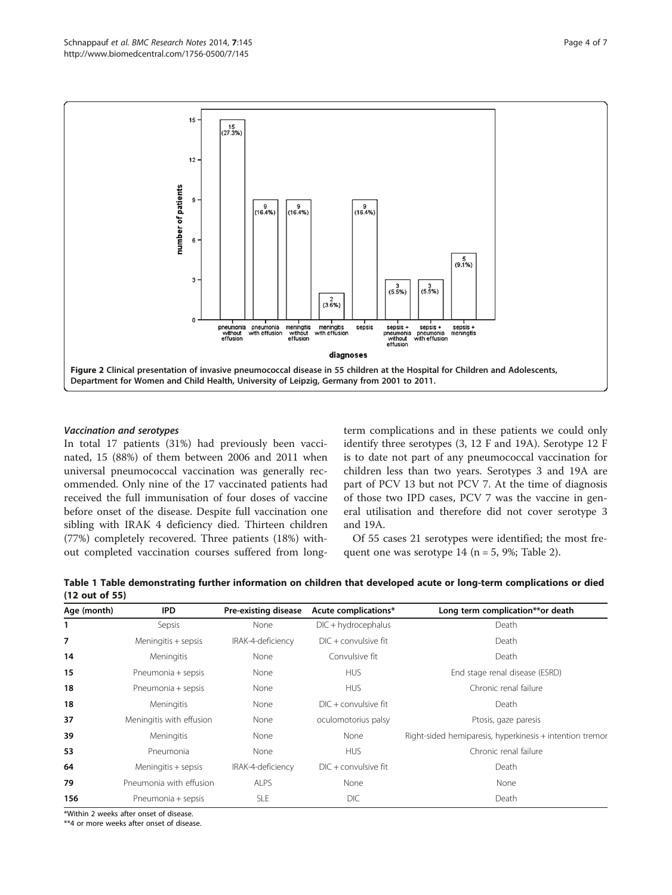<span id="page-3-0"></span>

#### Vaccination and serotypes

In total 17 patients (31%) had previously been vaccinated, 15 (88%) of them between 2006 and 2011 when universal pneumococcal vaccination was generally recommended. Only nine of the 17 vaccinated patients had received the full immunisation of four doses of vaccine before onset of the disease. Despite full vaccination one sibling with IRAK 4 deficiency died. Thirteen children (77%) completely recovered. Three patients (18%) without completed vaccination courses suffered from longterm complications and in these patients we could only identify three serotypes (3, 12 F and 19A). Serotype 12 F is to date not part of any pneumococcal vaccination for children less than two years. Serotypes 3 and 19A are part of PCV 13 but not PCV 7. At the time of diagnosis of those two IPD cases, PCV 7 was the vaccine in general utilisation and therefore did not cover serotype 3 and 19A.

Of 55 cases 21 serotypes were identified; the most frequent one was serotype  $14$  (n = 5, 9%; Table [2\)](#page-4-0).

Table 1 Table demonstrating further information on children that developed acute or long-term complications or died (12 out of 55)

| Age (month) | IPD                      | Pre-existing disease | Acute complications*   | Long term complication**or death                         |  |  |  |  |
|-------------|--------------------------|----------------------|------------------------|----------------------------------------------------------|--|--|--|--|
| 1           | Sepsis                   | None                 | $DIC + hydrocephalus$  | Death                                                    |  |  |  |  |
| 7           | Meningitis + sepsis      | IRAK-4-deficiency    | $DIC + convulsive fit$ | Death                                                    |  |  |  |  |
| 14          | Meningitis               | None                 | Convulsive fit         | Death                                                    |  |  |  |  |
| 15          | Pneumonia + sepsis       | None                 | <b>HUS</b>             | End stage renal disease (ESRD)                           |  |  |  |  |
| 18          | Pneumonia + sepsis       | None                 | <b>HUS</b>             | Chronic renal failure                                    |  |  |  |  |
| 18          | Meningitis               | None                 | $DIC + convulsive fit$ | Death                                                    |  |  |  |  |
| 37          | Meningitis with effusion | None                 | oculomotorius palsy    | Ptosis, gaze paresis                                     |  |  |  |  |
| 39          | Meningitis               | None                 | None                   | Right-sided hemiparesis, hyperkinesis + intention tremor |  |  |  |  |
| 53          | Pneumonia                | None                 | <b>HUS</b>             | Chronic renal failure                                    |  |  |  |  |
| 64          | Meningitis + sepsis      | IRAK-4-deficiency    | $DIC + convulsive fit$ | Death                                                    |  |  |  |  |
| 79          | Pneumonia with effusion  | <b>ALPS</b>          | None                   | None                                                     |  |  |  |  |
| 156         | Pneumonia + sepsis       | <b>SLE</b>           | <b>DIC</b>             | Death                                                    |  |  |  |  |

\*Within 2 weeks after onset of disease.

\*\*4 or more weeks after onset of disease.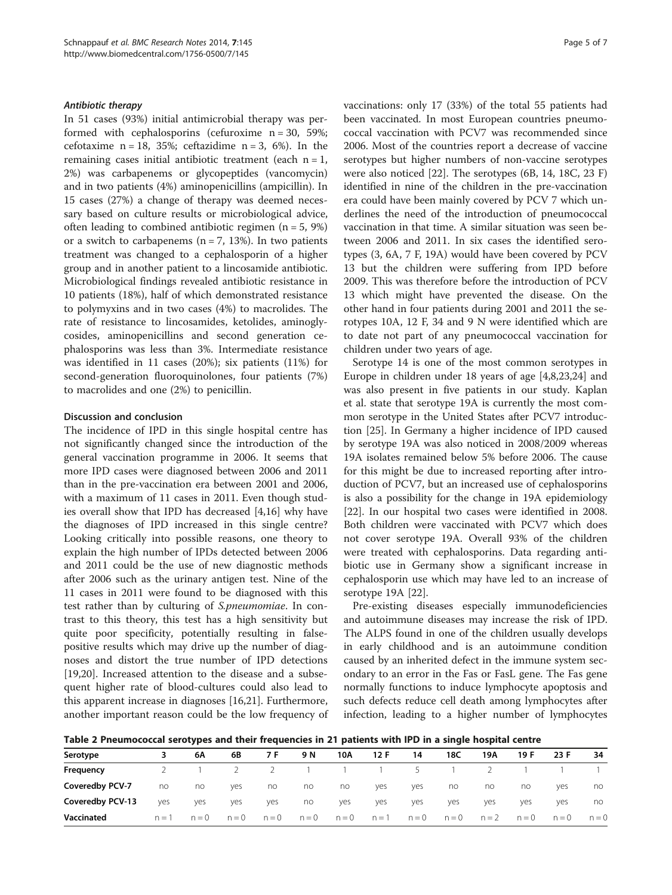#### <span id="page-4-0"></span>Antibiotic therapy

In 51 cases (93%) initial antimicrobial therapy was performed with cephalosporins (cefuroxime  $n = 30$ , 59%; cefotaxime  $n = 18$ , 35%; ceftazidime  $n = 3$ , 6%). In the remaining cases initial antibiotic treatment (each  $n = 1$ , 2%) was carbapenems or glycopeptides (vancomycin) and in two patients (4%) aminopenicillins (ampicillin). In 15 cases (27%) a change of therapy was deemed necessary based on culture results or microbiological advice, often leading to combined antibiotic regimen ( $n = 5$ , 9%) or a switch to carbapenems ( $n = 7$ , 13%). In two patients treatment was changed to a cephalosporin of a higher group and in another patient to a lincosamide antibiotic. Microbiological findings revealed antibiotic resistance in 10 patients (18%), half of which demonstrated resistance to polymyxins and in two cases (4%) to macrolides. The rate of resistance to lincosamides, ketolides, aminoglycosides, aminopenicillins and second generation cephalosporins was less than 3%. Intermediate resistance was identified in 11 cases (20%); six patients (11%) for second-generation fluoroquinolones, four patients (7%) to macrolides and one (2%) to penicillin.

#### Discussion and conclusion

The incidence of IPD in this single hospital centre has not significantly changed since the introduction of the general vaccination programme in 2006. It seems that more IPD cases were diagnosed between 2006 and 2011 than in the pre-vaccination era between 2001 and 2006, with a maximum of 11 cases in 2011. Even though studies overall show that IPD has decreased [[4](#page-6-0),[16](#page-6-0)] why have the diagnoses of IPD increased in this single centre? Looking critically into possible reasons, one theory to explain the high number of IPDs detected between 2006 and 2011 could be the use of new diagnostic methods after 2006 such as the urinary antigen test. Nine of the 11 cases in 2011 were found to be diagnosed with this test rather than by culturing of S.pneumomiae. In contrast to this theory, this test has a high sensitivity but quite poor specificity, potentially resulting in falsepositive results which may drive up the number of diagnoses and distort the true number of IPD detections [[19,20\]](#page-6-0). Increased attention to the disease and a subsequent higher rate of blood-cultures could also lead to this apparent increase in diagnoses [\[16,21](#page-6-0)]. Furthermore, another important reason could be the low frequency of vaccinations: only 17 (33%) of the total 55 patients had been vaccinated. In most European countries pneumococcal vaccination with PCV7 was recommended since 2006. Most of the countries report a decrease of vaccine serotypes but higher numbers of non-vaccine serotypes were also noticed [[22](#page-6-0)]. The serotypes (6B, 14, 18C, 23 F) identified in nine of the children in the pre-vaccination era could have been mainly covered by PCV 7 which underlines the need of the introduction of pneumococcal vaccination in that time. A similar situation was seen between 2006 and 2011. In six cases the identified serotypes (3, 6A, 7 F, 19A) would have been covered by PCV 13 but the children were suffering from IPD before 2009. This was therefore before the introduction of PCV 13 which might have prevented the disease. On the other hand in four patients during 2001 and 2011 the serotypes 10A, 12 F, 34 and 9 N were identified which are to date not part of any pneumococcal vaccination for children under two years of age.

Serotype 14 is one of the most common serotypes in Europe in children under 18 years of age [\[4,8,23,24](#page-6-0)] and was also present in five patients in our study. Kaplan et al. state that serotype 19A is currently the most common serotype in the United States after PCV7 introduction [[25\]](#page-6-0). In Germany a higher incidence of IPD caused by serotype 19A was also noticed in 2008/2009 whereas 19A isolates remained below 5% before 2006. The cause for this might be due to increased reporting after introduction of PCV7, but an increased use of cephalosporins is also a possibility for the change in 19A epidemiology [[22\]](#page-6-0). In our hospital two cases were identified in 2008. Both children were vaccinated with PCV7 which does not cover serotype 19A. Overall 93% of the children were treated with cephalosporins. Data regarding antibiotic use in Germany show a significant increase in cephalosporin use which may have led to an increase of serotype 19A [[22\]](#page-6-0).

Pre-existing diseases especially immunodeficiencies and autoimmune diseases may increase the risk of IPD. The ALPS found in one of the children usually develops in early childhood and is an autoimmune condition caused by an inherited defect in the immune system secondary to an error in the Fas or FasL gene. The Fas gene normally functions to induce lymphocyte apoptosis and such defects reduce cell death among lymphocytes after infection, leading to a higher number of lymphocytes

Table 2 Pneumococcal serotypes and their frequencies in 21 patients with IPD in a single hospital centre

| Serotype         |         | 6Α      | 6B      | 7 F     | 9 N     | 10A     | 12 F  | 14            | 18C     | 19A     | 19 F    | 23 F    | 34      |
|------------------|---------|---------|---------|---------|---------|---------|-------|---------------|---------|---------|---------|---------|---------|
| Frequency        |         |         |         |         |         |         |       | $\mathcal{P}$ |         |         |         |         |         |
| Coveredby PCV-7  | no      | no      | yes     | no      | no      | no      | yes   | yes           | no      | no      | no      | yes     | no      |
| Coveredby PCV-13 | yes     | yes     | yes     | yes     | no      | yes     | yes   | yes           | yes     | yes     | yes     | yes     | no      |
| Vaccinated       | $n = 1$ | $n = 0$ | $n = 0$ | $n = 0$ | $n = 0$ | $n = 0$ | $n=1$ | $n = 0$       | $n = 0$ | $n = 2$ | $n = 0$ | $n = 0$ | $n = 0$ |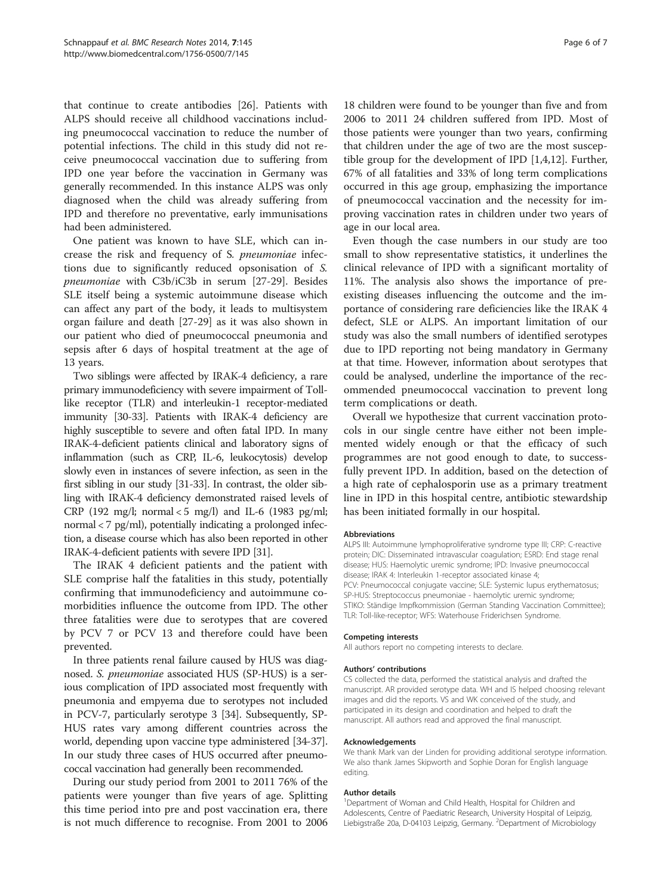that continue to create antibodies [[26\]](#page-6-0). Patients with ALPS should receive all childhood vaccinations including pneumococcal vaccination to reduce the number of potential infections. The child in this study did not receive pneumococcal vaccination due to suffering from IPD one year before the vaccination in Germany was generally recommended. In this instance ALPS was only diagnosed when the child was already suffering from IPD and therefore no preventative, early immunisations had been administered.

One patient was known to have SLE, which can increase the risk and frequency of S. pneumoniae infections due to significantly reduced opsonisation of S. pneumoniae with C3b/iC3b in serum [[27-29](#page-6-0)]. Besides SLE itself being a systemic autoimmune disease which can affect any part of the body, it leads to multisystem organ failure and death [[27-29\]](#page-6-0) as it was also shown in our patient who died of pneumococcal pneumonia and sepsis after 6 days of hospital treatment at the age of 13 years.

Two siblings were affected by IRAK-4 deficiency, a rare primary immunodeficiency with severe impairment of Tolllike receptor (TLR) and interleukin-1 receptor-mediated immunity [\[30-33](#page-6-0)]. Patients with IRAK-4 deficiency are highly susceptible to severe and often fatal IPD. In many IRAK-4-deficient patients clinical and laboratory signs of inflammation (such as CRP, IL-6, leukocytosis) develop slowly even in instances of severe infection, as seen in the first sibling in our study [\[31-33\]](#page-6-0). In contrast, the older sibling with IRAK-4 deficiency demonstrated raised levels of CRP (192 mg/l; normal  $<$  5 mg/l) and IL-6 (1983 pg/ml; normal < 7 pg/ml), potentially indicating a prolonged infection, a disease course which has also been reported in other IRAK-4-deficient patients with severe IPD [\[31\]](#page-6-0).

The IRAK 4 deficient patients and the patient with SLE comprise half the fatalities in this study, potentially confirming that immunodeficiency and autoimmune comorbidities influence the outcome from IPD. The other three fatalities were due to serotypes that are covered by PCV 7 or PCV 13 and therefore could have been prevented.

In three patients renal failure caused by HUS was diagnosed. S. pneumoniae associated HUS (SP-HUS) is a serious complication of IPD associated most frequently with pneumonia and empyema due to serotypes not included in PCV-7, particularly serotype 3 [\[34\]](#page-6-0). Subsequently, SP-HUS rates vary among different countries across the world, depending upon vaccine type administered [[34](#page-6-0)-[37](#page-6-0)]. In our study three cases of HUS occurred after pneumococcal vaccination had generally been recommended.

During our study period from 2001 to 2011 76% of the patients were younger than five years of age. Splitting this time period into pre and post vaccination era, there is not much difference to recognise. From 2001 to 2006

18 children were found to be younger than five and from 2006 to 2011 24 children suffered from IPD. Most of those patients were younger than two years, confirming that children under the age of two are the most susceptible group for the development of IPD [[1,4,12\]](#page-6-0). Further, 67% of all fatalities and 33% of long term complications occurred in this age group, emphasizing the importance of pneumococcal vaccination and the necessity for improving vaccination rates in children under two years of age in our local area.

Even though the case numbers in our study are too small to show representative statistics, it underlines the clinical relevance of IPD with a significant mortality of 11%. The analysis also shows the importance of preexisting diseases influencing the outcome and the importance of considering rare deficiencies like the IRAK 4 defect, SLE or ALPS. An important limitation of our study was also the small numbers of identified serotypes due to IPD reporting not being mandatory in Germany at that time. However, information about serotypes that could be analysed, underline the importance of the recommended pneumococcal vaccination to prevent long term complications or death.

Overall we hypothesize that current vaccination protocols in our single centre have either not been implemented widely enough or that the efficacy of such programmes are not good enough to date, to successfully prevent IPD. In addition, based on the detection of a high rate of cephalosporin use as a primary treatment line in IPD in this hospital centre, antibiotic stewardship has been initiated formally in our hospital.

#### Abbreviations

ALPS III: Autoimmune lymphoproliferative syndrome type III; CRP: C-reactive protein; DIC: Disseminated intravascular coagulation; ESRD: End stage renal disease; HUS: Haemolytic uremic syndrome; IPD: Invasive pneumococcal disease; IRAK 4: Interleukin 1-receptor associated kinase 4; PCV: Pneumococcal conjugate vaccine; SLE: Systemic lupus erythematosus; SP-HUS: Streptococcus pneumoniae - haemolytic uremic syndrome; STIKO: Ständige Impfkommission (German Standing Vaccination Committee); TLR: Toll-like-receptor; WFS: Waterhouse Friderichsen Syndrome.

#### Competing interests

All authors report no competing interests to declare.

#### Authors' contributions

CS collected the data, performed the statistical analysis and drafted the manuscript. AR provided serotype data. WH and IS helped choosing relevant images and did the reports. VS and WK conceived of the study, and participated in its design and coordination and helped to draft the manuscript. All authors read and approved the final manuscript.

#### Acknowledgements

We thank Mark van der Linden for providing additional serotype information. We also thank James Skipworth and Sophie Doran for English language editing.

#### Author details

<sup>1</sup>Department of Woman and Child Health, Hospital for Children and Adolescents, Centre of Paediatric Research, University Hospital of Leipzig, Liebigstraße 20a, D-04103 Leipzig, Germany. <sup>2</sup>Department of Microbiology